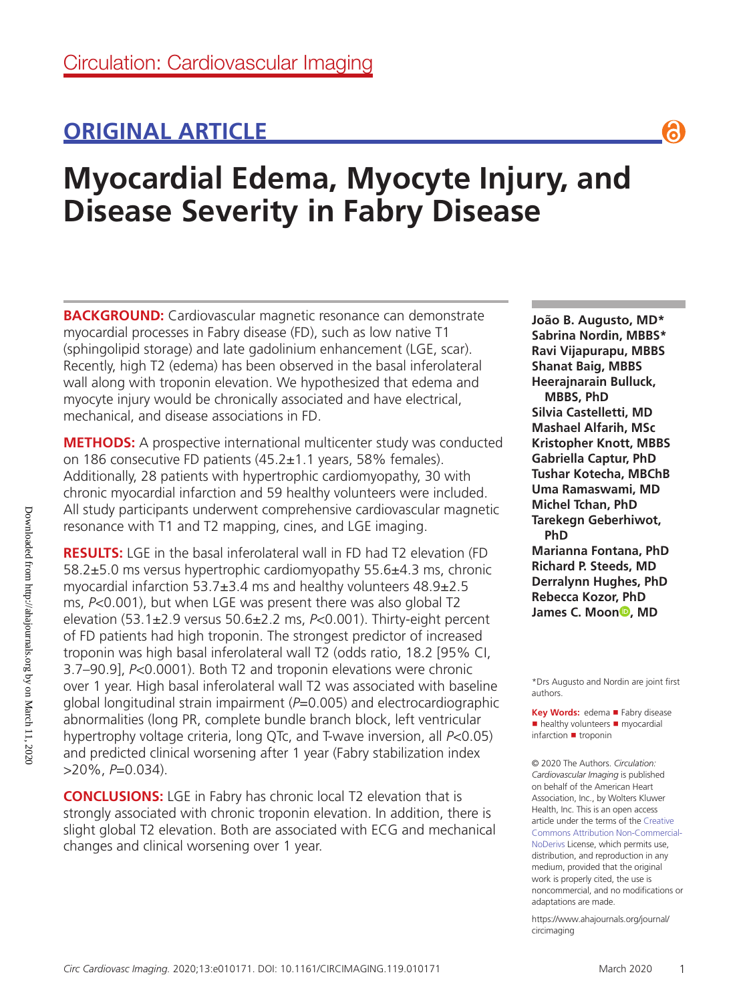# **ORIGINAL ARTICLE**

# **Myocardial Edema, Myocyte Injury, and Disease Severity in Fabry Disease**

**BACKGROUND:** Cardiovascular magnetic resonance can demonstrate myocardial processes in Fabry disease (FD), such as low native T1 (sphingolipid storage) and late gadolinium enhancement (LGE, scar). Recently, high T2 (edema) has been observed in the basal inferolateral wall along with troponin elevation. We hypothesized that edema and myocyte injury would be chronically associated and have electrical, mechanical, and disease associations in FD.

**METHODS:** A prospective international multicenter study was conducted on 186 consecutive FD patients (45.2±1.1 years, 58% females). Additionally, 28 patients with hypertrophic cardiomyopathy, 30 with chronic myocardial infarction and 59 healthy volunteers were included. All study participants underwent comprehensive cardiovascular magnetic resonance with T1 and T2 mapping, cines, and LGE imaging.

**RESULTS:** LGE in the basal inferolateral wall in FD had T2 elevation (FD 58.2±5.0 ms versus hypertrophic cardiomyopathy 55.6±4.3 ms, chronic myocardial infarction 53.7±3.4 ms and healthy volunteers 48.9±2.5 ms, *P*<0.001), but when LGE was present there was also global T2 elevation (53.1±2.9 versus 50.6±2.2 ms, *P*<0.001). Thirty-eight percent of FD patients had high troponin. The strongest predictor of increased troponin was high basal inferolateral wall T2 (odds ratio, 18.2 [95% CI, 3.7–90.9], *P*<0.0001). Both T2 and troponin elevations were chronic over 1 year. High basal inferolateral wall T2 was associated with baseline global longitudinal strain impairment (*P*=0.005) and electrocardiographic abnormalities (long PR, complete bundle branch block, left ventricular hypertrophy voltage criteria, long QTc, and T-wave inversion, all *P*<0.05) and predicted clinical worsening after 1 year (Fabry stabilization index >20%, *P*=0.034).

**CONCLUSIONS:** LGE in Fabry has chronic local T2 elevation that is strongly associated with chronic troponin elevation. In addition, there is slight global T2 elevation. Both are associated with ECG and mechanical changes and clinical worsening over 1 year.

**João B. Augusto, MD\* Sabrina Nordin, MBBS\* Ravi Vijapurapu, MBBS Shanat Baig, MBBS Heerajnarain Bulluck, MBBS, PhD Silvia Castelletti, MD Mashael Alfarih, MSc Kristopher Knott, MBBS Gabriella Captur, PhD Tushar Kotecha, MBChB Uma Ramaswami, MD Michel Tchan, PhD Tarekegn Geberhiwot, PhD Marianna Fontana, PhD Richard P. Steeds, MD Derralynn Hughes, PhD Rebecca Kozor, PhD James C. Moo[n](https://orcid.org/0000-0001-8071-1491)<sup>®</sup>, MD** 

G

\*Drs Augusto and Nordin are joint first authors.

**Key Words:** edema ■ Fabry disease ■ healthy volunteers ■ myocardial infarction ■ troponin

© 2020 The Authors. *Circulation: Cardiovascular Imaging* is published on behalf of the American Heart Association, Inc., by Wolters Kluwer Health, Inc. This is an open access article under the terms of the Creative Commons Attribution Non-Commercial-NoDerivs License, which permits use, distribution, and reproduction in any medium, provided that the original work is properly cited, the use is noncommercial, and no modifications or adaptations are made.

https://www.ahajournals.org/journal/ circimaging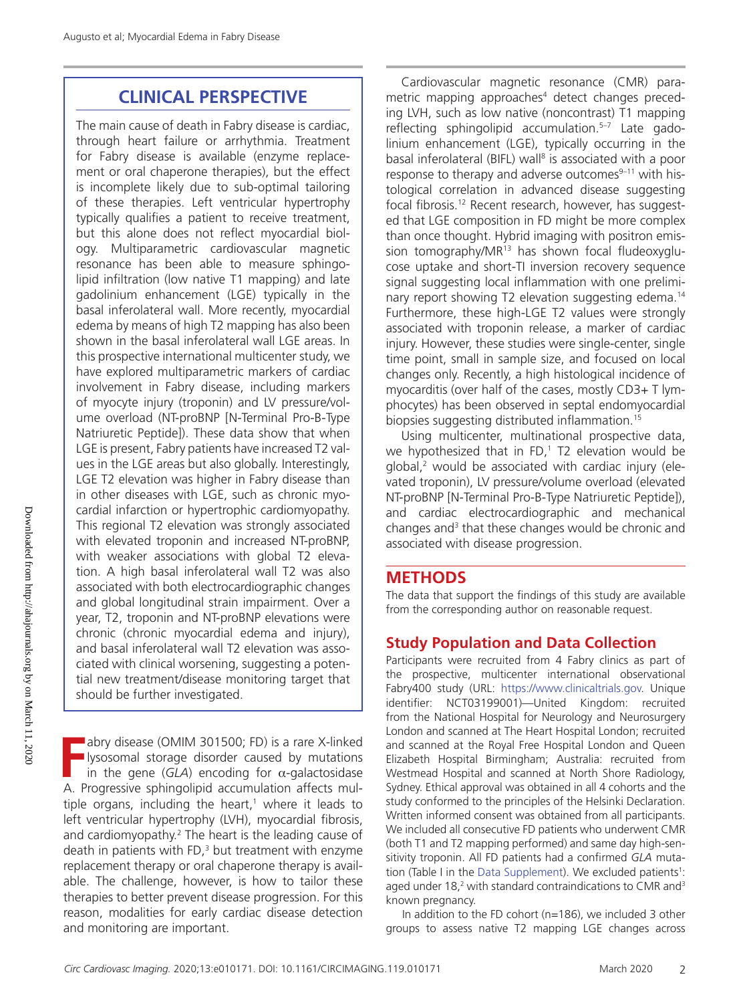# **CLINICAL PERSPECTIVE**

The main cause of death in Fabry disease is cardiac, through heart failure or arrhythmia. Treatment for Fabry disease is available (enzyme replacement or oral chaperone therapies), but the effect is incomplete likely due to sub-optimal tailoring of these therapies. Left ventricular hypertrophy typically qualifies a patient to receive treatment, but this alone does not reflect myocardial biology. Multiparametric cardiovascular magnetic resonance has been able to measure sphingolipid infiltration (low native T1 mapping) and late gadolinium enhancement (LGE) typically in the basal inferolateral wall. More recently, myocardial edema by means of high T2 mapping has also been shown in the basal inferolateral wall LGE areas. In this prospective international multicenter study, we have explored multiparametric markers of cardiac involvement in Fabry disease, including markers of myocyte injury (troponin) and LV pressure/volume overload (NT-proBNP [N-Terminal Pro-B-Type Natriuretic Peptide]). These data show that when LGE is present, Fabry patients have increased T2 values in the LGE areas but also globally. Interestingly, LGE T2 elevation was higher in Fabry disease than in other diseases with LGE, such as chronic myocardial infarction or hypertrophic cardiomyopathy. This regional T2 elevation was strongly associated with elevated troponin and increased NT-proBNP, with weaker associations with global T2 elevation. A high basal inferolateral wall T2 was also associated with both electrocardiographic changes and global longitudinal strain impairment. Over a year, T2, troponin and NT-proBNP elevations were chronic (chronic myocardial edema and injury), and basal inferolateral wall T2 elevation was associated with clinical worsening, suggesting a potential new treatment/disease monitoring target that should be further investigated.

**FR** abry disease (OMIM 301500; FD) is a rare X-linked<br>Igsosomal storage disorder caused by mutations<br>in the gene (*GLA*) encoding for  $\alpha$ -galactosidase<br>A Progressive sphingplinid assumption affects mullysosomal storage disorder caused by mutations in the gene (*GLA*) encoding for  $\alpha$ -galactosidase A. Progressive sphingolipid accumulation affects multiple organs, including the heart, $<sup>1</sup>$  where it leads to</sup> left ventricular hypertrophy (LVH), myocardial fibrosis, and cardiomyopathy.<sup>2</sup> The heart is the leading cause of death in patients with FD, $3$  but treatment with enzyme replacement therapy or oral chaperone therapy is available. The challenge, however, is how to tailor these therapies to better prevent disease progression. For this reason, modalities for early cardiac disease detection and monitoring are important.

Cardiovascular magnetic resonance (CMR) parametric mapping approaches<sup>4</sup> detect changes preceding LVH, such as low native (noncontrast) T1 mapping reflecting sphingolipid accumulation.5–7 Late gadolinium enhancement (LGE), typically occurring in the basal inferolateral (BIFL) wall<sup>8</sup> is associated with a poor response to therapy and adverse outcomes $9-11$  with histological correlation in advanced disease suggesting focal fibrosis.12 Recent research, however, has suggested that LGE composition in FD might be more complex than once thought. Hybrid imaging with positron emission tomography/MR<sup>13</sup> has shown focal fludeoxyglucose uptake and short-TI inversion recovery sequence signal suggesting local inflammation with one preliminary report showing T2 elevation suggesting edema.14 Furthermore, these high-LGE T2 values were strongly associated with troponin release, a marker of cardiac injury. However, these studies were single-center, single time point, small in sample size, and focused on local changes only. Recently, a high histological incidence of myocarditis (over half of the cases, mostly CD3+ T lymphocytes) has been observed in septal endomyocardial biopsies suggesting distributed inflammation.15

Using multicenter, multinational prospective data, we hypothesized that in FD, $1$  T2 elevation would be global,2 would be associated with cardiac injury (elevated troponin), LV pressure/volume overload (elevated NT-proBNP [N-Terminal Pro-B-Type Natriuretic Peptide]), and cardiac electrocardiographic and mechanical changes and<sup>3</sup> that these changes would be chronic and associated with disease progression.

#### **METHODS**

The data that support the findings of this study are available from the corresponding author on reasonable request.

# **Study Population and Data Collection**

Participants were recruited from 4 Fabry clinics as part of the prospective, multicenter international observational Fabry400 study (URL: https://www.clinicaltrials.gov. Unique identifier: NCT03199001)—United Kingdom: recruited from the National Hospital for Neurology and Neurosurgery London and scanned at The Heart Hospital London; recruited and scanned at the Royal Free Hospital London and Queen Elizabeth Hospital Birmingham; Australia: recruited from Westmead Hospital and scanned at North Shore Radiology, Sydney. Ethical approval was obtained in all 4 cohorts and the study conformed to the principles of the Helsinki Declaration. Written informed consent was obtained from all participants. We included all consecutive FD patients who underwent CMR (both T1 and T2 mapping performed) and same day high-sensitivity troponin. All FD patients had a confirmed *GLA* mutation (Table I in the Data Supplement). We excluded patients<sup>1</sup>: aged under 18,<sup>2</sup> with standard contraindications to CMR and<sup>3</sup> known pregnancy.

In addition to the FD cohort (n=186), we included 3 other groups to assess native T2 mapping LGE changes across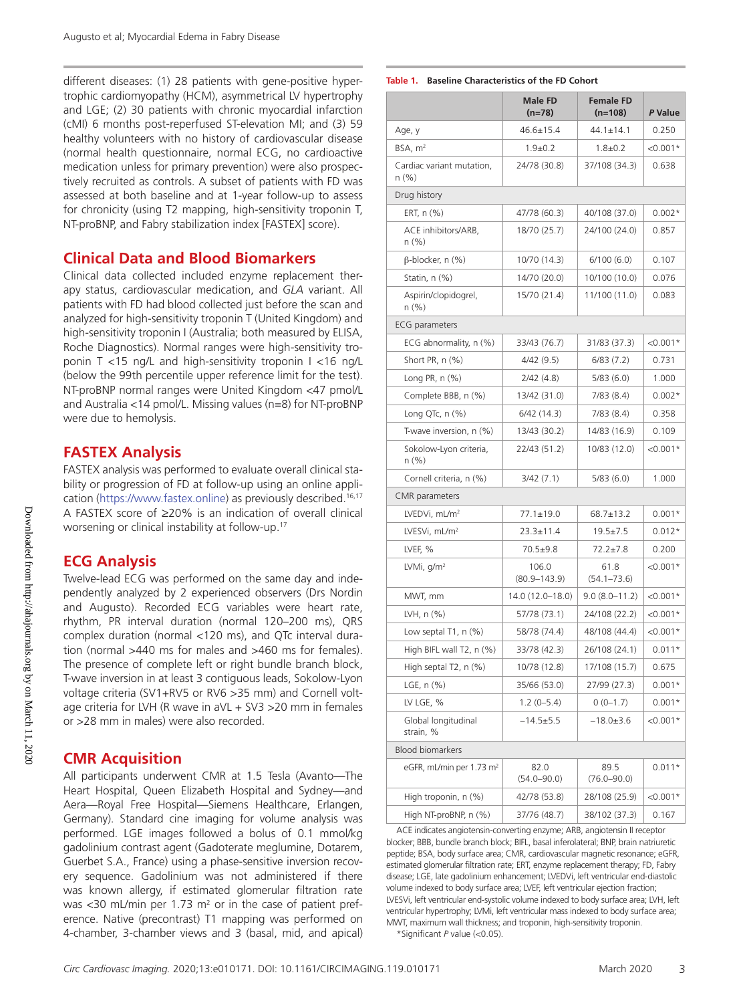different diseases: (1) 28 patients with gene-positive hypertrophic cardiomyopathy (HCM), asymmetrical LV hypertrophy and LGE; (2) 30 patients with chronic myocardial infarction (cMI) 6 months post-reperfused ST-elevation MI; and (3) 59 healthy volunteers with no history of cardiovascular disease (normal health questionnaire, normal ECG, no cardioactive medication unless for primary prevention) were also prospectively recruited as controls. A subset of patients with FD was assessed at both baseline and at 1-year follow-up to assess for chronicity (using T2 mapping, high-sensitivity troponin T, NT-proBNP, and Fabry stabilization index [FASTEX] score).

#### **Clinical Data and Blood Biomarkers**

Clinical data collected included enzyme replacement therapy status, cardiovascular medication, and *GLA* variant. All patients with FD had blood collected just before the scan and analyzed for high-sensitivity troponin T (United Kingdom) and high-sensitivity troponin I (Australia; both measured by ELISA, Roche Diagnostics). Normal ranges were high-sensitivity troponin T <15 ng/L and high-sensitivity troponin I <16 ng/L (below the 99th percentile upper reference limit for the test). NT-proBNP normal ranges were United Kingdom <47 pmol/L and Australia <14 pmol/L. Missing values (n=8) for NT-proBNP were due to hemolysis.

## **FASTEX Analysis**

FASTEX analysis was performed to evaluate overall clinical stability or progression of FD at follow-up using an online application (https://www.fastex.online) as previously described.<sup>16,17</sup> A FASTEX score of ≥20% is an indication of overall clinical worsening or clinical instability at follow-up.17

### **ECG Analysis**

Twelve-lead ECG was performed on the same day and independently analyzed by 2 experienced observers (Drs Nordin and Augusto). Recorded ECG variables were heart rate, rhythm, PR interval duration (normal 120–200 ms), QRS complex duration (normal <120 ms), and QTc interval duration (normal >440 ms for males and >460 ms for females). The presence of complete left or right bundle branch block, T-wave inversion in at least 3 contiguous leads, Sokolow-Lyon voltage criteria (SV1+RV5 or RV6 >35 mm) and Cornell voltage criteria for LVH (R wave in aVL + SV3 >20 mm in females or >28 mm in males) were also recorded.

### **CMR Acquisition**

All participants underwent CMR at 1.5 Tesla (Avanto—The Heart Hospital, Queen Elizabeth Hospital and Sydney—and Aera—Royal Free Hospital—Siemens Healthcare, Erlangen, Germany). Standard cine imaging for volume analysis was performed. LGE images followed a bolus of 0.1 mmol/kg gadolinium contrast agent (Gadoterate meglumine, Dotarem, Guerbet S.A., France) using a phase-sensitive inversion recovery sequence. Gadolinium was not administered if there was known allergy, if estimated glomerular filtration rate was <30 mL/min per 1.73  $m<sup>2</sup>$  or in the case of patient preference. Native (precontrast) T1 mapping was performed on 4-chamber, 3-chamber views and 3 (basal, mid, and apical)

#### **Table 1. Baseline Characteristics of the FD Cohort**

|                                       | <b>Male FD</b><br>$(n=78)$ | <b>Female FD</b><br>$(n=108)$ | P Value     |
|---------------------------------------|----------------------------|-------------------------------|-------------|
| Age, y                                | $46.6 \pm 15.4$            | $44.1 \pm 14.1$               | 0.250       |
| BSA, $m2$                             | $1.9 \pm 0.2$              | $1.8 \pm 0.2$                 | $< 0.001*$  |
| Cardiac variant mutation,<br>$n (\%)$ | 24/78 (30.8)               | 37/108 (34.3)                 | 0.638       |
| Drug history                          |                            |                               |             |
| ERT, $n$ $%$                          | 47/78 (60.3)               | 40/108 (37.0)                 | $0.002*$    |
| ACE inhibitors/ARB,<br>n (%)          | 18/70 (25.7)               | 24/100 (24.0)                 | 0.857       |
| B-blocker, n (%)                      | 10/70 (14.3)               | 6/100(6.0)                    | 0.107       |
| Statin, n (%)                         | 14/70 (20.0)               | 10/100 (10.0)                 | 0.076       |
| Aspirin/clopidogrel,<br>n (%)         | 15/70 (21.4)               | 11/100 (11.0)                 | 0.083       |
| <b>ECG</b> parameters                 |                            |                               |             |
| ECG abnormality, n (%)                | 33/43 (76.7)               | 31/83 (37.3)                  | $< 0.001*$  |
| Short PR, n (%)                       | 4/42(9.5)                  | 6/83(7.2)                     | 0.731       |
| Long PR, $n$ $(\%)$                   | 2/42(4.8)                  | 5/83(6.0)                     | 1.000       |
| Complete BBB, n (%)                   | 13/42 (31.0)               | 7/83(8.4)                     | $0.002*$    |
| Long QTc, n (%)                       | 6/42(14.3)                 | 7/83(8.4)                     | 0.358       |
| T-wave inversion, n (%)               | 13/43 (30.2)               | 14/83 (16.9)                  | 0.109       |
| Sokolow-Lyon criteria,<br>n (%)       | 22/43 (51.2)               | 10/83 (12.0)                  | $< 0.001*$  |
| Cornell criteria, n (%)               | 3/42(7.1)                  | 5/83(6.0)                     | 1.000       |
| <b>CMR</b> parameters                 |                            |                               |             |
| LVEDVi, $mL/m2$                       | $77.1 \pm 19.0$            | $68.7 \pm 13.2$               | $0.001*$    |
| LVESVi, mL/m <sup>2</sup>             | $23.3 \pm 11.4$            | $19.5 \pm 7.5$                | $0.012*$    |
| LVEF, %                               | $70.5 + 9.8$               | $72.2 \pm 7.8$                | 0.200       |
| LVMi, $q/m^2$                         | 106.0<br>$(80.9 - 143.9)$  | 61.8<br>$(54.1 - 73.6)$       | $< 0.001*$  |
| MWT, mm                               | 14.0 (12.0-18.0)           | $9.0(8.0-11.2)$               | $< 0.001*$  |
| LVH, n (%)                            | 57/78 (73.1)               | 24/108 (22.2)                 | $< 0.001*$  |
| Low septal T1, n (%)                  | 58/78 (74.4)               | 48/108 (44.4)                 | ${<}0.001*$ |
| High BIFL wall T2, n (%)              | 33/78 (42.3)               | 26/108 (24.1)                 | $0.011*$    |
| High septal T2, n (%)                 | 10/78 (12.8)               | 17/108 (15.7)                 | 0.675       |
| LGE, n (%)                            | 35/66 (53.0)               | 27/99 (27.3)                  | $0.001*$    |
| LV LGE, %                             | $1.2(0-5.4)$               | $0(0-1.7)$                    | $0.001*$    |
| Global longitudinal<br>strain, %      | $-14.5+5.5$                | $-18.0 \pm 3.6$               | $< 0.001*$  |
| <b>Blood biomarkers</b>               |                            |                               |             |
| eGFR, mL/min per 1.73 m <sup>2</sup>  | 82.0<br>$(54.0 - 90.0)$    | 89.5<br>$(76.0 - 90.0)$       | $0.011*$    |
| High troponin, n (%)                  | 42/78 (53.8)               | 28/108 (25.9)                 | <0.001*     |
| High NT-proBNP, n (%)                 | 37/76 (48.7)               | 38/102 (37.3)                 | 0.167       |

ACE indicates angiotensin-converting enzyme; ARB, angiotensin II receptor blocker; BBB, bundle branch block; BIFL, basal inferolateral; BNP, brain natriuretic peptide; BSA, body surface area; CMR, cardiovascular magnetic resonance; eGFR, estimated glomerular filtration rate; ERT, enzyme replacement therapy; FD, Fabry disease; LGE, late gadolinium enhancement; LVEDVi, left ventricular end-diastolic volume indexed to body surface area; LVEF, left ventricular ejection fraction; LVESVi, left ventricular end-systolic volume indexed to body surface area; LVH, left ventricular hypertrophy; LVMi, left ventricular mass indexed to body surface area; MWT, maximum wall thickness; and troponin, high-sensitivity troponin.

\*Significant *P* value (<0.05).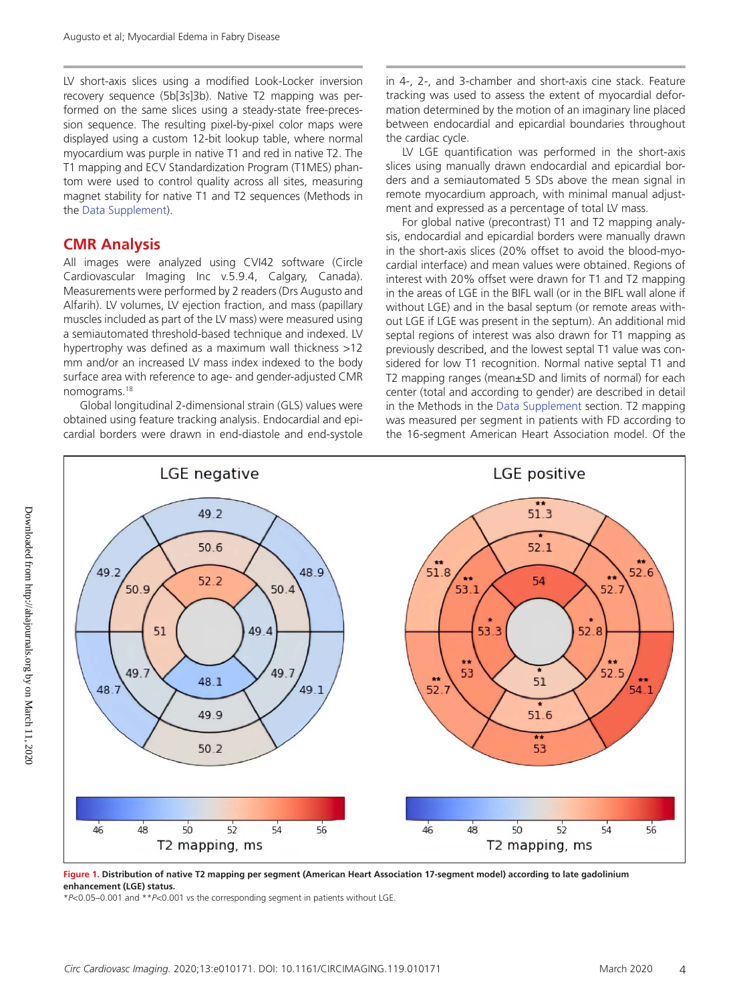LV short-axis slices using a modified Look-Locker inversion recovery sequence (5b[3s]3b). Native T2 mapping was performed on the same slices using a steady-state free-precession sequence. The resulting pixel-by-pixel color maps were displayed using a custom 12-bit lookup table, where normal myocardium was purple in native T1 and red in native T2. The T1 mapping and ECV Standardization Program (T1MES) phantom were used to control quality across all sites, measuring magnet stability for native T1 and T2 sequences (Methods in the Data Supplement).

#### **CMR Analysis**

All images were analyzed using CVI42 software (Circle Cardiovascular Imaging Inc v.5.9.4, Calgary, Canada). Measurements were performed by 2 readers (Drs Augusto and Alfarih). LV volumes, LV ejection fraction, and mass (papillary muscles included as part of the LV mass) were measured using a semiautomated threshold-based technique and indexed. LV hypertrophy was defined as a maximum wall thickness >12 mm and/or an increased LV mass index indexed to the body surface area with reference to age- and gender-adjusted CMR nomograms.18

Global longitudinal 2-dimensional strain (GLS) values were obtained using feature tracking analysis. Endocardial and epicardial borders were drawn in end-diastole and end-systole in 4-, 2-, and 3-chamber and short-axis cine stack. Feature tracking was used to assess the extent of myocardial deformation determined by the motion of an imaginary line placed between endocardial and epicardial boundaries throughout the cardiac cycle.

LV LGE quantification was performed in the short-axis slices using manually drawn endocardial and epicardial borders and a semiautomated 5 SDs above the mean signal in remote myocardium approach, with minimal manual adjustment and expressed as a percentage of total LV mass.

For global native (precontrast) T1 and T2 mapping analysis, endocardial and epicardial borders were manually drawn in the short-axis slices (20% offset to avoid the blood-myocardial interface) and mean values were obtained. Regions of interest with 20% offset were drawn for T1 and T2 mapping in the areas of LGE in the BIFL wall (or in the BIFL wall alone if without LGE) and in the basal septum (or remote areas without LGE if LGE was present in the septum). An additional mid septal regions of interest was also drawn for T1 mapping as previously described, and the lowest septal T1 value was considered for low T1 recognition. Normal native septal T1 and T2 mapping ranges (mean±SD and limits of normal) for each center (total and according to gender) are described in detail in the Methods in the Data Supplement section. T2 mapping was measured per segment in patients with FD according to the 16-segment American Heart Association model. Of the



**Figure 1. Distribution of native T2 mapping per segment (American Heart Association 17-segment model) according to late gadolinium enhancement (LGE) status.**

\**P*<0.05–0.001 and \*\**P*<0.001 vs the corresponding segment in patients without LGE.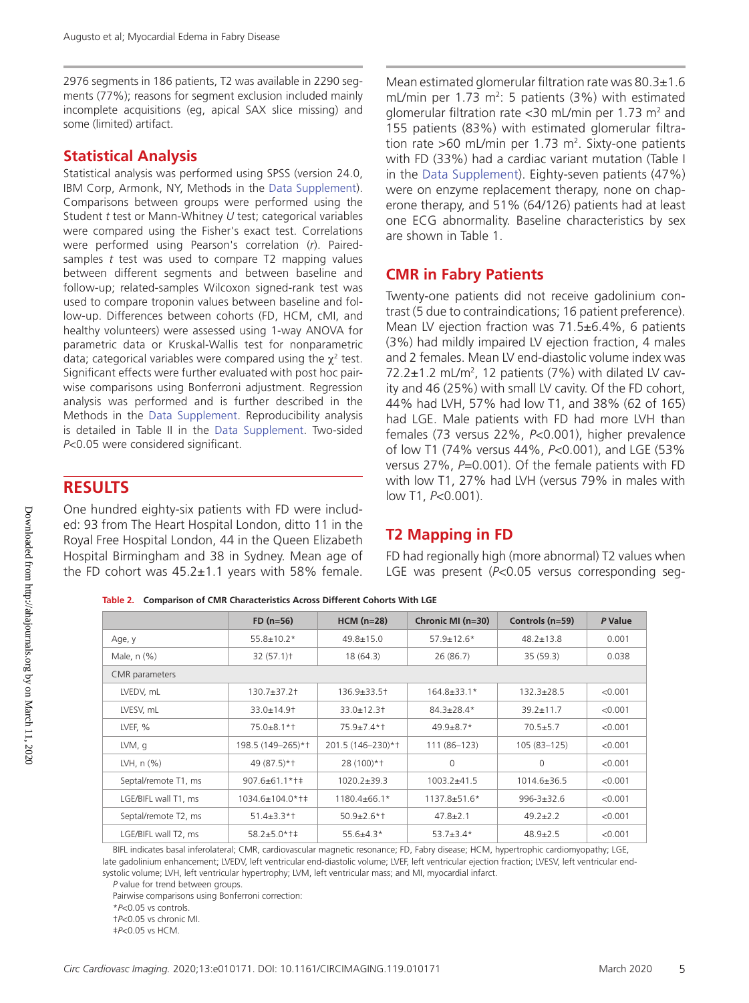2976 segments in 186 patients, T2 was available in 2290 segments (77%); reasons for segment exclusion included mainly incomplete acquisitions (eg, apical SAX slice missing) and some (limited) artifact.

#### **Statistical Analysis**

Statistical analysis was performed using SPSS (version 24.0, IBM Corp, Armonk, NY, Methods in the Data Supplement). Comparisons between groups were performed using the Student *t* test or Mann-Whitney *U* test; categorical variables were compared using the Fisher's exact test. Correlations were performed using Pearson's correlation (*r*). Pairedsamples *t* test was used to compare T2 mapping values between different segments and between baseline and follow-up; related-samples Wilcoxon signed-rank test was used to compare troponin values between baseline and follow-up. Differences between cohorts (FD, HCM, cMI, and healthy volunteers) were assessed using 1-way ANOVA for parametric data or Kruskal-Wallis test for nonparametric data; categorical variables were compared using the  $\chi^2$  test. Significant effects were further evaluated with post hoc pairwise comparisons using Bonferroni adjustment. Regression analysis was performed and is further described in the Methods in the Data Supplement. Reproducibility analysis is detailed in Table II in the Data Supplement. Two-sided *P*<0.05 were considered significant.

### **RESULTS**

One hundred eighty-six patients with FD were included: 93 from The Heart Hospital London, ditto 11 in the Royal Free Hospital London, 44 in the Queen Elizabeth Hospital Birmingham and 38 in Sydney. Mean age of the FD cohort was  $45.2 \pm 1.1$  years with 58% female.

Mean estimated glomerular filtration rate was 80.3±1.6 mL/min per 1.73 m<sup>2</sup>: 5 patients (3%) with estimated glomerular filtration rate < 30 mL/min per 1.73  $m<sup>2</sup>$  and 155 patients (83%) with estimated glomerular filtration rate  $>$ 60 mL/min per 1.73 m<sup>2</sup>. Sixty-one patients with FD (33%) had a cardiac variant mutation (Table I in the Data Supplement). Eighty-seven patients (47%) were on enzyme replacement therapy, none on chaperone therapy, and 51% (64/126) patients had at least one ECG abnormality. Baseline characteristics by sex are shown in Table 1.

## **CMR in Fabry Patients**

Twenty-one patients did not receive gadolinium contrast (5 due to contraindications; 16 patient preference). Mean LV ejection fraction was  $71.5\pm6.4\%$ , 6 patients (3%) had mildly impaired LV ejection fraction, 4 males and 2 females. Mean LV end-diastolic volume index was 72.2 $\pm$ 1.2 mL/m<sup>2</sup>, 12 patients (7%) with dilated LV cavity and 46 (25%) with small LV cavity. Of the FD cohort, 44% had LVH, 57% had low T1, and 38% (62 of 165) had LGE. Male patients with FD had more LVH than females (73 versus 22%, *P*<0.001), higher prevalence of low T1 (74% versus 44%, *P*<0.001), and LGE (53% versus 27%, *P*=0.001). Of the female patients with FD with low T1, 27% had LVH (versus 79% in males with low T1, *P*<0.001).

# **T2 Mapping in FD**

FD had regionally high (more abnormal) T2 values when LGE was present (*P*<0.05 versus corresponding seg-

**Table 2. Comparison of CMR Characteristics Across Different Cohorts With LGE**

|                      | $FD (n=56)$              | $HCM (n=28)$      | Chronic MI (n=30) | Controls (n=59)   | P Value |
|----------------------|--------------------------|-------------------|-------------------|-------------------|---------|
| Age, y               | $55.8 \pm 10.2*$         | $49.8 \pm 15.0$   | $57.9 \pm 12.6*$  | $48.2 + 13.8$     | 0.001   |
| Male, n (%)          | 32(57.1)                 | 18(64.3)          | 26(86.7)          | 35(59.3)          | 0.038   |
| CMR parameters       |                          |                   |                   |                   |         |
| LVEDV, mL            | $130.7 + 37.2$           | $136.9 + 33.5 +$  | 164.8±33.1*       | $132.3 + 28.5$    | < 0.001 |
| LVESV, mL            | $33.0 \pm 14.9$          | $33.0 + 12.3 +$   | $84.3 + 28.4*$    | $39.2 + 11.7$     | < 0.001 |
| LVEF, %              | $75.0 + 8.1 * +$         | $75.9 + 7.4*$     | $49.9 + 8.7*$     | $70.5 + 5.7$      | < 0.001 |
| LVM, q               | 198.5 (149-265)*†        | 201.5 (146-230)*1 | 111 (86-123)      | 105 (83-125)      | < 0.001 |
| LVH, $n$ $(\%)$      | 49 (87.5)*1              | 28 (100)*+        | $\Omega$          | 0                 | < 0.001 |
| Septal/remote T1, ms | $907.6 + 61.1$ * † ‡     | $1020.2 + 39.3$   | $1003.2 + 41.5$   | $1014.6 \pm 36.5$ | < 0.001 |
| LGE/BIFL wall T1, ms | $1034.6 \pm 104.0$ * † ‡ | 1180.4±66.1*      | $1137.8 + 51.6*$  | $996 - 3 + 32.6$  | < 0.001 |
| Septal/remote T2, ms | $51.4 + 3.3*$            | $50.9 + 2.6*$     | $47.8 + 2.1$      | $49.2 + 2.2$      | < 0.001 |
| LGE/BIFL wall T2, ms | $58.2 + 5.0$ *†‡         | $55.6 + 4.3*$     | $53.7 \pm 3.4*$   | $48.9 \pm 2.5$    | < 0.001 |

BIFL indicates basal inferolateral; CMR, cardiovascular magnetic resonance; FD, Fabry disease; HCM, hypertrophic cardiomyopathy; LGE, late gadolinium enhancement; LVEDV, left ventricular end-diastolic volume; LVEF, left ventricular ejection fraction; LVESV, left ventricular endsystolic volume; LVH, left ventricular hypertrophy; LVM, left ventricular mass; and MI, myocardial infarct.

*P* value for trend between groups.

Pairwise comparisons using Bonferroni correction:

\**P*<0.05 vs controls.

†*P*<0.05 vs chronic MI.

‡*P*<0.05 vs HCM.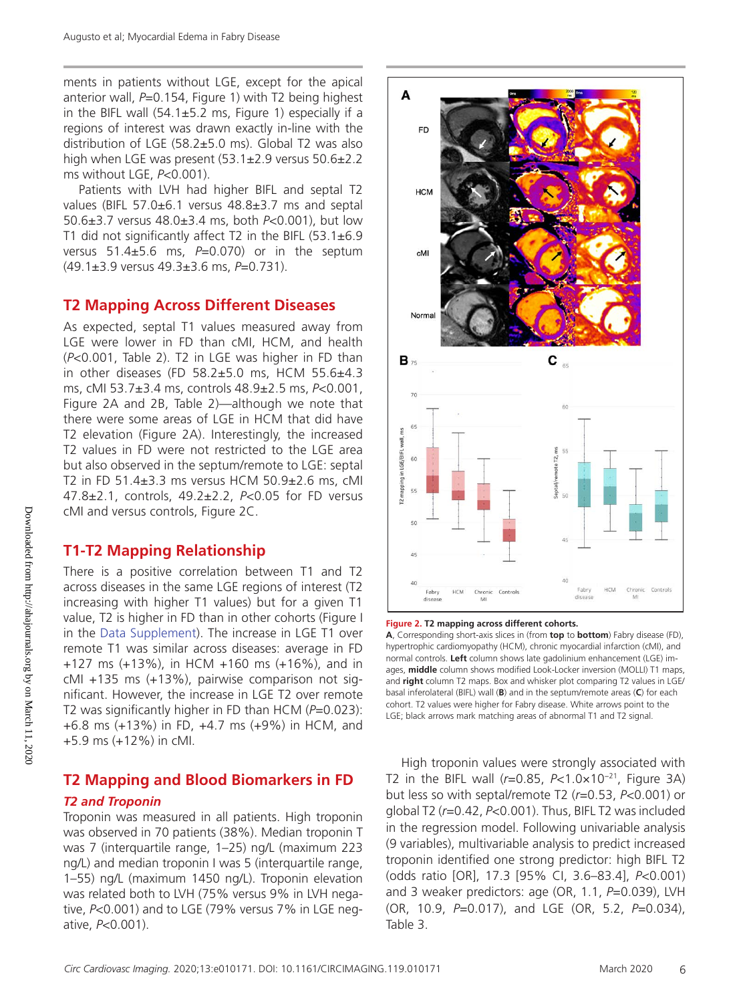ments in patients without LGE, except for the apical anterior wall, *P*=0.154, Figure 1) with T2 being highest in the BIFL wall  $(54.1 \pm 5.2 \text{ ms})$ , Figure 1) especially if a regions of interest was drawn exactly in-line with the distribution of LGE  $(58.2 \pm 5.0 \text{ ms})$ . Global T2 was also high when LGE was present (53.1±2.9 versus 50.6±2.2 ms without LGE, *P*<0.001).

Patients with LVH had higher BIFL and septal T2 values (BIFL 57.0±6.1 versus 48.8±3.7 ms and septal 50.6±3.7 versus 48.0±3.4 ms, both *P*<0.001), but low T1 did not significantly affect T2 in the BIFL (53.1±6.9 versus 51.4±5.6 ms, *P*=0.070) or in the septum (49.1±3.9 versus 49.3±3.6 ms, *P*=0.731).

#### **T2 Mapping Across Different Diseases**

As expected, septal T1 values measured away from LGE were lower in FD than cMI, HCM, and health (*P*<0.001, Table 2). T2 in LGE was higher in FD than in other diseases (FD 58.2 $\pm$ 5.0 ms, HCM 55.6 $\pm$ 4.3 ms, cMI 53.7±3.4 ms, controls 48.9±2.5 ms, *P*<0.001, Figure 2A and 2B, Table 2)—although we note that there were some areas of LGE in HCM that did have T2 elevation (Figure 2A). Interestingly, the increased T2 values in FD were not restricted to the LGE area but also observed in the septum/remote to LGE: septal T2 in FD 51.4±3.3 ms versus HCM 50.9±2.6 ms, cMI 47.8±2.1, controls, 49.2±2.2, *P*<0.05 for FD versus cMI and versus controls, Figure 2C.

#### **T1-T2 Mapping Relationship**

There is a positive correlation between T1 and T2 across diseases in the same LGE regions of interest (T2 increasing with higher T1 values) but for a given T1 value, T2 is higher in FD than in other cohorts (Figure I in the Data Supplement). The increase in LGE T1 over remote T1 was similar across diseases: average in FD +127 ms (+13%), in HCM +160 ms (+16%), and in cMI +135 ms (+13%), pairwise comparison not significant. However, the increase in LGE T2 over remote T2 was significantly higher in FD than HCM (*P*=0.023): +6.8 ms (+13%) in FD, +4.7 ms (+9%) in HCM, and +5.9 ms (+12%) in cMI.

# **T2 Mapping and Blood Biomarkers in FD**

#### *T2 and Troponin*

Troponin was measured in all patients. High troponin was observed in 70 patients (38%). Median troponin T was 7 (interquartile range, 1–25) ng/L (maximum 223 ng/L) and median troponin I was 5 (interquartile range, 1–55) ng/L (maximum 1450 ng/L). Troponin elevation was related both to LVH (75% versus 9% in LVH negative, *P*<0.001) and to LGE (79% versus 7% in LGE negative, *P*<0.001).





**A**, Corresponding short-axis slices in (from **top** to **bottom**) Fabry disease (FD), hypertrophic cardiomyopathy (HCM), chronic myocardial infarction (cMI), and normal controls. **Left** column shows late gadolinium enhancement (LGE) images, **middle** column shows modified Look-Locker inversion (MOLLI) T1 maps, and **right** column T2 maps. Box and whisker plot comparing T2 values in LGE/ basal inferolateral (BIFL) wall (**B**) and in the septum/remote areas (**C**) for each cohort. T2 values were higher for Fabry disease. White arrows point to the LGE; black arrows mark matching areas of abnormal T1 and T2 signal.

High troponin values were strongly associated with T2 in the BIFL wall (*r*=0.85, *P*<1.0×10−21, Figure 3A) but less so with septal/remote T2 (*r*=0.53, *P*<0.001) or global T2 (*r*=0.42, *P*<0.001). Thus, BIFL T2 was included in the regression model. Following univariable analysis (9 variables), multivariable analysis to predict increased troponin identified one strong predictor: high BIFL T2 (odds ratio [OR], 17.3 [95% CI, 3.6–83.4], *P*<0.001) and 3 weaker predictors: age (OR, 1.1, *P*=0.039), LVH (OR, 10.9, *P*=0.017), and LGE (OR, 5.2, *P*=0.034), Table 3.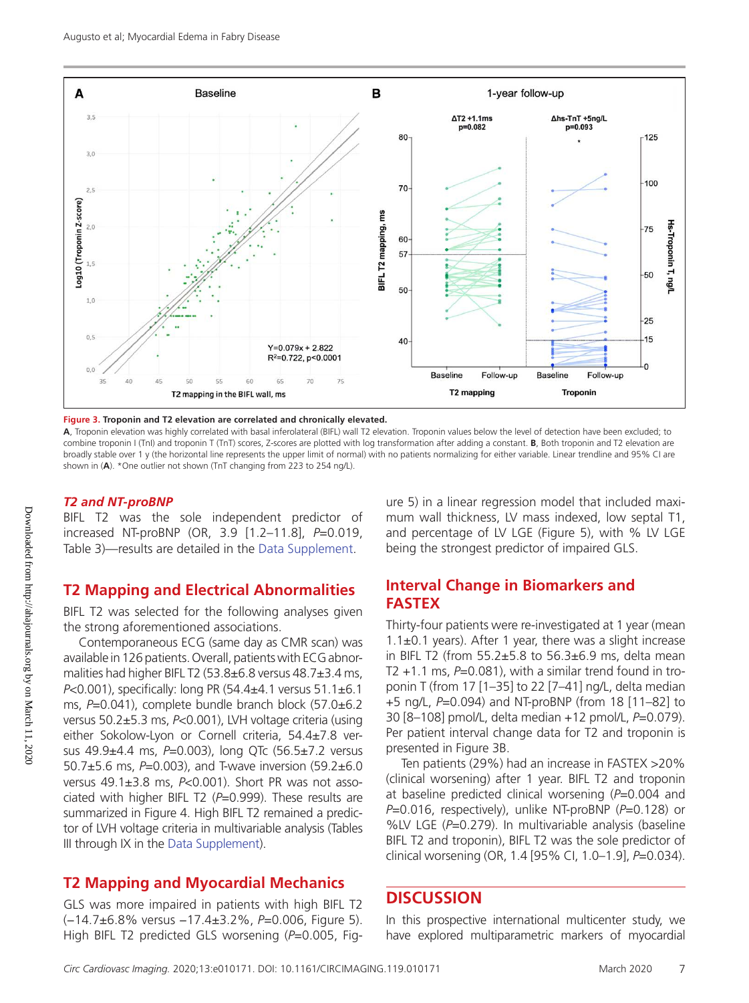

**Figure 3. Troponin and T2 elevation are correlated and chronically elevated.**

**A**, Troponin elevation was highly correlated with basal inferolateral (BIFL) wall T2 elevation. Troponin values below the level of detection have been excluded; to combine troponin I (TnI) and troponin T (TnT) scores, Z-scores are plotted with log transformation after adding a constant. **B**, Both troponin and T2 elevation are broadly stable over 1 y (the horizontal line represents the upper limit of normal) with no patients normalizing for either variable. Linear trendline and 95% CI are shown in (**A**). \*One outlier not shown (TnT changing from 223 to 254 ng/L).

#### *T2 and NT-proBNP*

BIFL T2 was the sole independent predictor of increased NT-proBNP (OR, 3.9 [1.2–11.8], *P*=0.019, Table 3)—results are detailed in the Data Supplement.

#### **T2 Mapping and Electrical Abnormalities**

BIFL T2 was selected for the following analyses given the strong aforementioned associations.

Contemporaneous ECG (same day as CMR scan) was available in 126 patients. Overall, patients with ECG abnormalities had higher BIFL T2 (53.8±6.8 versus 48.7±3.4 ms, *P*<0.001), specifically: long PR (54.4±4.1 versus 51.1±6.1 ms, *P*=0.041), complete bundle branch block (57.0±6.2 versus 50.2±5.3 ms, *P*<0.001), LVH voltage criteria (using either Sokolow-Lyon or Cornell criteria, 54.4±7.8 versus 49.9±4.4 ms, *P*=0.003), long QTc (56.5±7.2 versus 50.7±5.6 ms, *P*=0.003), and T-wave inversion (59.2±6.0 versus 49.1±3.8 ms, *P*<0.001). Short PR was not associated with higher BIFL T2 (*P*=0.999). These results are summarized in Figure 4. High BIFL T2 remained a predictor of LVH voltage criteria in multivariable analysis (Tables III through IX in the Data Supplement).

### **T2 Mapping and Myocardial Mechanics**

GLS was more impaired in patients with high BIFL T2 (−14.7±6.8% versus −17.4±3.2%, *P*=0.006, Figure 5). High BIFL T2 predicted GLS worsening (*P*=0.005, Figure 5) in a linear regression model that included maximum wall thickness, LV mass indexed, low septal T1, and percentage of LV LGE (Figure 5), with % LV LGE being the strongest predictor of impaired GLS.

#### **Interval Change in Biomarkers and FASTEX**

Thirty-four patients were re-investigated at 1 year (mean 1.1 $\pm$ 0.1 years). After 1 year, there was a slight increase in BIFL T2 (from  $55.2 \pm 5.8$  to  $56.3 \pm 6.9$  ms, delta mean T2  $+1.1$  ms,  $P=0.081$ ), with a similar trend found in troponin T (from 17 [1–35] to 22 [7–41] ng/L, delta median +5 ng/L, *P*=0.094) and NT-proBNP (from 18 [11–82] to 30 [8–108] pmol/L, delta median +12 pmol/L, *P*=0.079). Per patient interval change data for T2 and troponin is presented in Figure 3B.

Ten patients (29%) had an increase in FASTEX >20% (clinical worsening) after 1 year. BIFL T2 and troponin at baseline predicted clinical worsening (*P*=0.004 and *P*=0.016, respectively), unlike NT-proBNP (*P*=0.128) or %LV LGE (P=0.279). In multivariable analysis (baseline BIFL T2 and troponin), BIFL T2 was the sole predictor of clinical worsening (OR, 1.4 [95% CI, 1.0–1.9], *P*=0.034).

#### **DISCUSSION**

In this prospective international multicenter study, we have explored multiparametric markers of myocardial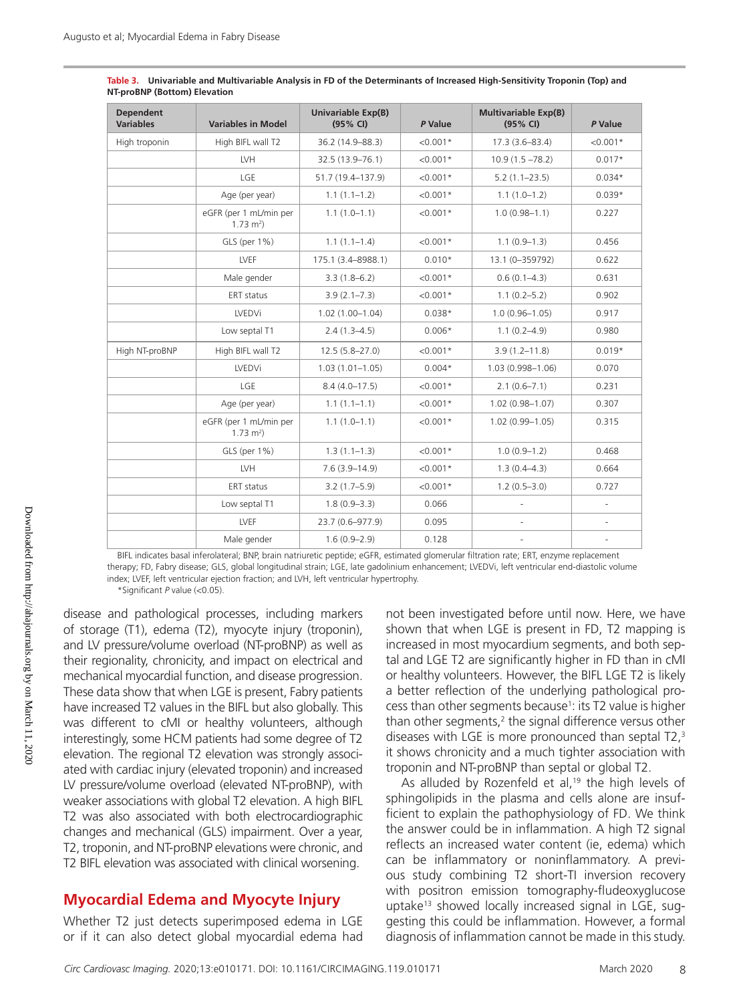| <b>Dependent</b><br><b>Variables</b> | <b>Variables in Model</b>                         | Univariable Exp(B)<br>(95% CI) | P Value    | <b>Multivariable Exp(B)</b><br>(95% CI) | P Value                  |
|--------------------------------------|---------------------------------------------------|--------------------------------|------------|-----------------------------------------|--------------------------|
| High troponin                        | High BIFL wall T2                                 | 36.2 (14.9-88.3)               | $< 0.001*$ | 17.3 (3.6-83.4)                         | $< 0.001*$               |
|                                      | LVH                                               | 32.5 (13.9-76.1)               | $< 0.001*$ | $10.9(1.5 - 78.2)$                      | $0.017*$                 |
|                                      | LGE                                               | 51.7 (19.4-137.9)              | $< 0.001*$ | $5.2(1.1 - 23.5)$                       | $0.034*$                 |
|                                      | Age (per year)                                    | $1.1(1.1-1.2)$                 | $< 0.001*$ | $1.1(1.0-1.2)$                          | $0.039*$                 |
|                                      | eGFR (per 1 mL/min per<br>$1.73$ m <sup>2</sup> ) | $1.1(1.0-1.1)$                 | $< 0.001*$ | $1.0(0.98 - 1.1)$                       | 0.227                    |
|                                      | GLS (per 1%)                                      | $1.1(1.1-1.4)$                 | $< 0.001*$ | $1.1(0.9-1.3)$                          | 0.456                    |
|                                      | <b>LVEF</b>                                       | 175.1 (3.4-8988.1)             | $0.010*$   | 13.1 (0-359792)                         | 0.622                    |
|                                      | Male gender                                       | $3.3(1.8-6.2)$                 | $< 0.001*$ | $0.6(0.1 - 4.3)$                        | 0.631                    |
|                                      | <b>ERT</b> status                                 | $3.9(2.1 - 7.3)$               | $< 0.001*$ | $1.1(0.2 - 5.2)$                        | 0.902                    |
|                                      | <b>LVEDVi</b>                                     | $1.02(1.00 - 1.04)$            | $0.038*$   | $1.0(0.96 - 1.05)$                      | 0.917                    |
|                                      | Low septal T1                                     | $2.4(1.3 - 4.5)$               | $0.006*$   | $1.1(0.2 - 4.9)$                        | 0.980                    |
| High NT-proBNP                       | High BIFL wall T2                                 | $12.5(5.8 - 27.0)$             | $< 0.001*$ | $3.9(1.2 - 11.8)$                       | $0.019*$                 |
|                                      | LVEDVi                                            | $1.03(1.01 - 1.05)$            | $0.004*$   | 1.03 (0.998-1.06)                       | 0.070                    |
|                                      | LGE                                               | $8.4(4.0 - 17.5)$              | $< 0.001*$ | $2.1(0.6 - 7.1)$                        | 0.231                    |
|                                      | Age (per year)                                    | $1.1(1.1-1.1)$                 | $< 0.001*$ | $1.02(0.98 - 1.07)$                     | 0.307                    |
|                                      | eGFR (per 1 mL/min per<br>$1.73 \text{ m}^2$ )    | $1.1(1.0-1.1)$                 | $< 0.001*$ | $1.02(0.99 - 1.05)$                     | 0.315                    |
|                                      | GLS (per 1%)                                      | $1.3(1.1-1.3)$                 | $< 0.001*$ | $1.0(0.9-1.2)$                          | 0.468                    |
|                                      | LVH                                               | $7.6(3.9 - 14.9)$              | $< 0.001*$ | $1.3(0.4 - 4.3)$                        | 0.664                    |
|                                      | ERT status                                        | $3.2(1.7-5.9)$                 | $< 0.001*$ | $1.2(0.5 - 3.0)$                        | 0.727                    |
|                                      | Low septal T1                                     | $1.8(0.9 - 3.3)$               | 0.066      |                                         |                          |
|                                      | LVEF                                              | 23.7 (0.6-977.9)               | 0.095      | $\overline{\phantom{a}}$                | $\overline{\phantom{a}}$ |
|                                      | Male gender                                       | $1.6(0.9 - 2.9)$               | 0.128      |                                         |                          |

| Table 3. Univariable and Multivariable Analysis in FD of the Determinants of Increased High-Sensitivity Troponin (Top) and |
|----------------------------------------------------------------------------------------------------------------------------|
| NT-proBNP (Bottom) Elevation                                                                                               |

BIFL indicates basal inferolateral; BNP, brain natriuretic peptide; eGFR, estimated glomerular filtration rate; ERT, enzyme replacement therapy; FD, Fabry disease; GLS, global longitudinal strain; LGE, late gadolinium enhancement; LVEDVi, left ventricular end-diastolic volume index; LVEF, left ventricular ejection fraction; and LVH, left ventricular hypertrophy. \*Significant *P* value (<0.05).

disease and pathological processes, including markers of storage (T1), edema (T2), myocyte injury (troponin), and LV pressure/volume overload (NT-proBNP) as well as their regionality, chronicity, and impact on electrical and mechanical myocardial function, and disease progression. These data show that when LGE is present, Fabry patients have increased T2 values in the BIFL but also globally. This was different to cMI or healthy volunteers, although interestingly, some HCM patients had some degree of T2 elevation. The regional T2 elevation was strongly associated with cardiac injury (elevated troponin) and increased LV pressure/volume overload (elevated NT-proBNP), with weaker associations with global T2 elevation. A high BIFL T2 was also associated with both electrocardiographic changes and mechanical (GLS) impairment. Over a year, T2, troponin, and NT-proBNP elevations were chronic, and T2 BIFL elevation was associated with clinical worsening.

#### **Myocardial Edema and Myocyte Injury**

Whether T2 just detects superimposed edema in LGE or if it can also detect global myocardial edema had

not been investigated before until now. Here, we have shown that when LGE is present in FD, T2 mapping is increased in most myocardium segments, and both septal and LGE T2 are significantly higher in FD than in cMI or healthy volunteers. However, the BIFL LGE T2 is likely a better reflection of the underlying pathological process than other segments because1 : its T2 value is higher than other segments, $2$  the signal difference versus other diseases with LGE is more pronounced than septal T2,<sup>3</sup> it shows chronicity and a much tighter association with troponin and NT-proBNP than septal or global T2.

As alluded by Rozenfeld et al, $19$  the high levels of sphingolipids in the plasma and cells alone are insufficient to explain the pathophysiology of FD. We think the answer could be in inflammation. A high T2 signal reflects an increased water content (ie, edema) which can be inflammatory or noninflammatory. A previous study combining T2 short-TI inversion recovery with positron emission tomography-fludeoxyglucose uptake<sup>13</sup> showed locally increased signal in LGE, suggesting this could be inflammation. However, a formal diagnosis of inflammation cannot be made in this study.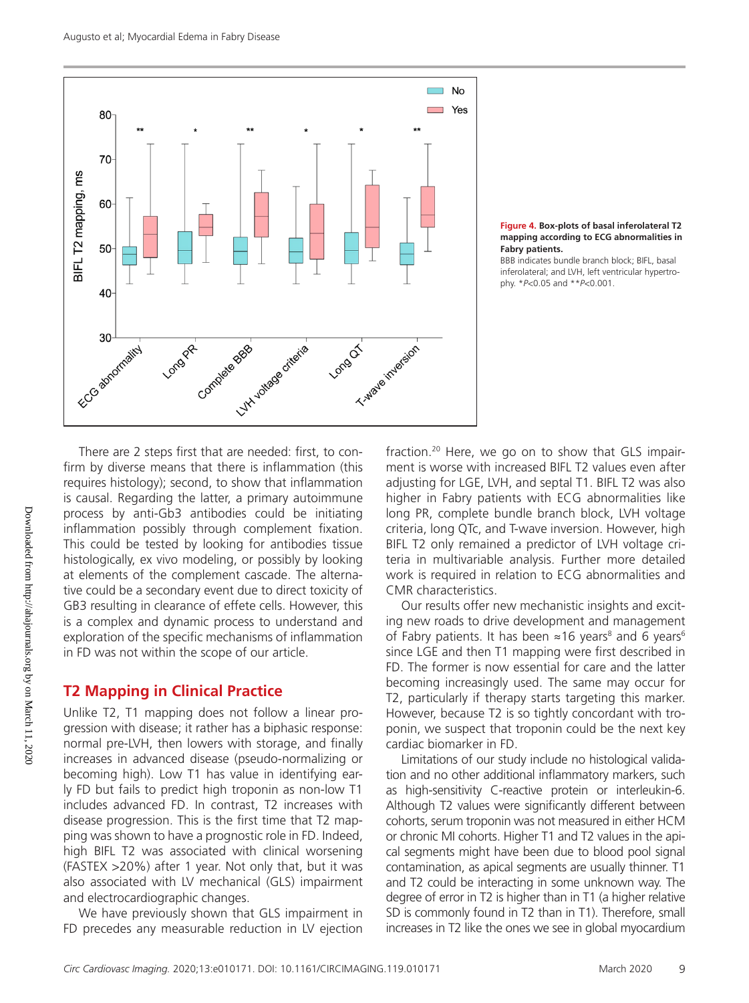



BBB indicates bundle branch block; BIFL, basal inferolateral; and LVH, left ventricular hypertrophy. \**P*<0.05 and \*\**P*<0.001.

There are 2 steps first that are needed: first, to confirm by diverse means that there is inflammation (this requires histology); second, to show that inflammation is causal. Regarding the latter, a primary autoimmune process by anti-Gb3 antibodies could be initiating inflammation possibly through complement fixation. This could be tested by looking for antibodies tissue histologically, ex vivo modeling, or possibly by looking at elements of the complement cascade. The alternative could be a secondary event due to direct toxicity of GB3 resulting in clearance of effete cells. However, this is a complex and dynamic process to understand and exploration of the specific mechanisms of inflammation in FD was not within the scope of our article.

# **T2 Mapping in Clinical Practice**

Unlike T2, T1 mapping does not follow a linear progression with disease; it rather has a biphasic response: normal pre-LVH, then lowers with storage, and finally increases in advanced disease (pseudo-normalizing or becoming high). Low T1 has value in identifying early FD but fails to predict high troponin as non-low T1 includes advanced FD. In contrast, T2 increases with disease progression. This is the first time that T2 mapping was shown to have a prognostic role in FD. Indeed, high BIFL T2 was associated with clinical worsening (FASTEX >20%) after 1 year. Not only that, but it was also associated with LV mechanical (GLS) impairment and electrocardiographic changes.

We have previously shown that GLS impairment in FD precedes any measurable reduction in LV ejection fraction.20 Here, we go on to show that GLS impairment is worse with increased BIFL T2 values even after adjusting for LGE, LVH, and septal T1. BIFL T2 was also higher in Fabry patients with ECG abnormalities like long PR, complete bundle branch block, LVH voltage criteria, long QTc, and T-wave inversion. However, high BIFL T2 only remained a predictor of LVH voltage criteria in multivariable analysis. Further more detailed work is required in relation to ECG abnormalities and CMR characteristics.

Our results offer new mechanistic insights and exciting new roads to drive development and management of Fabry patients. It has been  $\approx$ 16 years<sup>8</sup> and 6 years<sup>6</sup> since LGE and then T1 mapping were first described in FD. The former is now essential for care and the latter becoming increasingly used. The same may occur for T2, particularly if therapy starts targeting this marker. However, because T2 is so tightly concordant with troponin, we suspect that troponin could be the next key cardiac biomarker in FD.

Limitations of our study include no histological validation and no other additional inflammatory markers, such as high-sensitivity C-reactive protein or interleukin-6. Although T2 values were significantly different between cohorts, serum troponin was not measured in either HCM or chronic MI cohorts. Higher T1 and T2 values in the apical segments might have been due to blood pool signal contamination, as apical segments are usually thinner. T1 and T2 could be interacting in some unknown way. The degree of error in T2 is higher than in T1 (a higher relative SD is commonly found in T2 than in T1). Therefore, small increases in T2 like the ones we see in global myocardium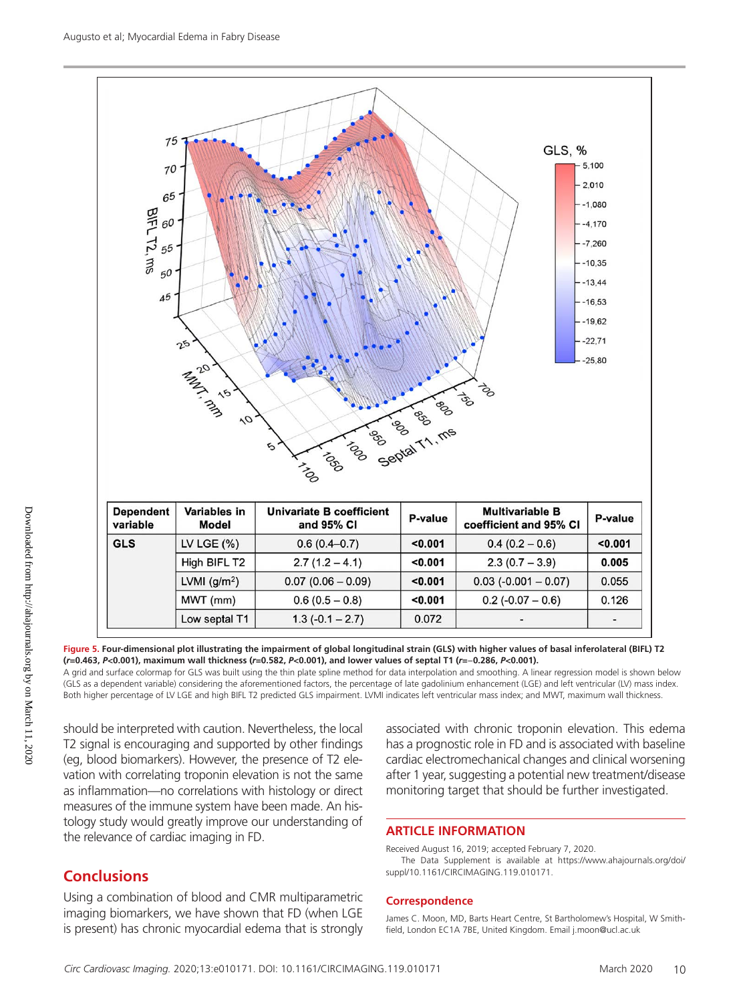

**Figure 5. Four-dimensional plot illustrating the impairment of global longitudinal strain (GLS) with higher values of basal inferolateral (BIFL) T2 (***r***=0.463,** *P***<0.001), maximum wall thickness (***r***=0.582,** *P***<0.001), and lower values of septal T1 (***r***=**−**0.286,** *P***<0.001).**

A grid and surface colormap for GLS was built using the thin plate spline method for data interpolation and smoothing. A linear regression model is shown below (GLS as a dependent variable) considering the aforementioned factors, the percentage of late gadolinium enhancement (LGE) and left ventricular (LV) mass index. Both higher percentage of LV LGE and high BIFL T2 predicted GLS impairment. LVMI indicates left ventricular mass index; and MWT, maximum wall thickness.

should be interpreted with caution. Nevertheless, the local T2 signal is encouraging and supported by other findings (eg, blood biomarkers). However, the presence of T2 elevation with correlating troponin elevation is not the same as inflammation—no correlations with histology or direct measures of the immune system have been made. An histology study would greatly improve our understanding of the relevance of cardiac imaging in FD.

# **Conclusions**

Using a combination of blood and CMR multiparametric imaging biomarkers, we have shown that FD (when LGE is present) has chronic myocardial edema that is strongly

associated with chronic troponin elevation. This edema has a prognostic role in FD and is associated with baseline cardiac electromechanical changes and clinical worsening after 1 year, suggesting a potential new treatment/disease monitoring target that should be further investigated.

#### **ARTICLE INFORMATION**

Received August 16, 2019; accepted February 7, 2020. The Data Supplement is available at https://www.ahajournals.org/doi/ suppl/10.1161/CIRCIMAGING.119.010171.

#### **Correspondence**

James C. Moon, MD, Barts Heart Centre, St Bartholomew's Hospital, W Smithfield, London EC1A 7BE, United Kingdom. Email [j.moon@ucl.ac.uk](mailto:j.moon@ucl.ac.uk)